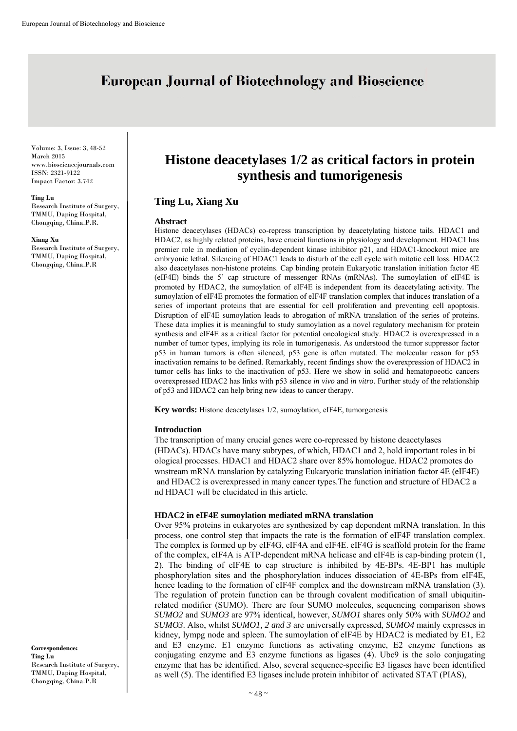# **European Journal of Biotechnology and Bioscience**

Volume: 3, Issue: 3, 48-52 March 2015 www.biosciencejournals.com ISSN: 2321-9122 Impact Factor: 3.742

#### **Ting Lu**

Research Institute of Surgery, TMMU, Daping Hospital, Chongqing, China.P.R.

**Xiang Xu** 

Research Institute of Surgery, TMMU, Daping Hospital, Chongqing, China.P.R

**Histone deacetylases 1/2 as critical factors in protein synthesis and tumorigenesis** 

## **Ting Lu, Xiang Xu**

#### **Abstract**

Histone deacetylases (HDACs) co-repress transcription by deacetylating histone tails. HDAC1 and HDAC2, as highly related proteins, have crucial functions in physiology and development. HDAC1 has premier role in mediation of cyclin-dependent kinase inhibitor p21, and HDAC1-knockout mice are embryonic lethal. Silencing of HDAC1 leads to disturb of the cell cycle with mitotic cell loss. HDAC2 also deacetylases non-histone proteins. Cap binding protein Eukaryotic translation initiation factor 4E (eIF4E) binds the 5' cap structure of messenger RNAs (mRNAs). The sumoylation of eIF4E is promoted by HDAC2, the sumoylation of eIF4E is independent from its deacetylating activity. The sumoylation of eIF4E promotes the formation of eIF4F translation complex that induces translation of a series of important proteins that are essential for cell proliferation and preventing cell apoptosis. Disruption of eIF4E sumoylation leads to abrogation of mRNA translation of the series of proteins. These data implies it is meaningful to study sumoylation as a novel regulatory mechanism for protein synthesis and eIF4E as a critical factor for potential oncological study. HDAC2 is overexpressed in a number of tumor types, implying its role in tumorigenesis. As understood the tumor suppressor factor p53 in human tumors is often silenced, p53 gene is often mutated. The molecular reason for p53 inactivation remains to be defined. Remarkably, recent findings show the overexpression of HDAC2 in tumor cells has links to the inactivation of p53. Here we show in solid and hematopoeotic cancers overexpressed HDAC2 has links with p53 silence *in vivo* and *in vitro*. Further study of the relationship of p53 and HDAC2 can help bring new ideas to cancer therapy.

**Key words:** Histone deacetylases 1/2, sumoylation, eIF4E, tumorgenesis

## **Introduction**

The transcription of many crucial genes were co-repressed by histone deacetylases (HDACs). HDACs have many subtypes, of which, HDAC1 and 2, hold important roles in bi ological processes. HDAC1 and HDAC2 share over 85% homologue. HDAC2 promotes do wnstream mRNA translation by catalyzing Eukaryotic translation initiation factor 4E (eIF4E) and HDAC2 is overexpressed in many cancer types.The function and structure of HDAC2 a nd HDAC1 will be elucidated in this article.

## **HDAC2 in eIF4E sumoylation mediated mRNA translation**

Over 95% proteins in eukaryotes are synthesized by cap dependent mRNA translation. In this process, one control step that impacts the rate is the formation of eIF4F translation complex. The complex is formed up by eIF4G, eIF4A and eIF4E. eIF4G is scaffold protein for the frame of the complex, eIF4A is ATP-dependent mRNA helicase and eIF4E is cap-binding protein (1, 2). The binding of eIF4E to cap structure is inhibited by 4E-BPs. 4E-BP1 has multiple phosphorylation sites and the phosphorylation induces dissociation of 4E-BPs from eIF4E, hence leading to the formation of eIF4F complex and the downstream mRNA translation (3). The regulation of protein function can be through covalent modification of small ubiquitinrelated modifier (SUMO). There are four SUMO molecules, sequencing comparison shows *SUMO2* and *SUMO3* are 97% identical, however, *SUMO1* shares only 50% with *SUMO2* and *SUMO3*. Also, whilst *SUMO1, 2 and 3* are universally expressed, *SUMO4* mainly expresses in kidney, lympg node and spleen. The sumoylation of eIF4E by HDAC2 is mediated by E1, E2 and E3 enzyme. E1 enzyme functions as activating enzyme, E2 enzyme functions as conjugating enzyme and E3 enzyme functions as ligases (4). Ubc9 is the solo conjugating enzyme that has be identified. Also, several sequence-specific E3 ligases have been identified as well (5). The identified E3 ligases include protein inhibitor of activated STAT (PIAS),

**Correspondence: Ting Lu**  Research Institute of Surgery, TMMU, Daping Hospital, Chongqing, China.P.R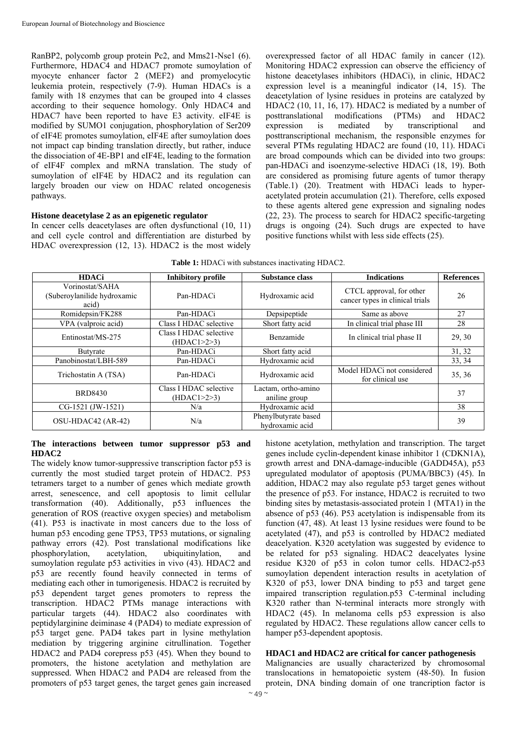RanBP2, polycomb group protein Pc2, and Mms21-Nse1 (6). Furthermore, HDAC4 and HDAC7 promote sumoylation of myocyte enhancer factor 2 (MEF2) and promyelocytic leukemia protein, respectively (7-9). Human HDACs is a family with 18 enzymes that can be grouped into 4 classes according to their sequence homology. Only HDAC4 and HDAC7 have been reported to have E3 activity. eIF4E is modified by SUMO1 conjugation, phosphorylation of Ser209 of eIF4E promotes sumoylation, eIF4E after sumoylation does not impact cap binding translation directly, but rather, induce the dissociation of 4E-BP1 and eIF4E, leading to the formation of eIF4F complex and mRNA translation. The study of sumoylation of eIF4E by HDAC2 and its regulation can largely broaden our view on HDAC related oncogenesis pathways.

## **Histone deacetylase 2 as an epigenetic regulator**

In cencer cells deacetylases are often dysfunctional (10, 11) and cell cycle control and differentiation are disturbed by HDAC overexpression (12, 13). HDAC2 is the most widely overexpressed factor of all HDAC family in cancer (12). Monitoring HDAC2 expression can observe the efficiency of histone deacetylases inhibitors (HDACi), in clinic, HDAC2 expression level is a meaningful indicator (14, 15). The deacetylation of lysine residues in proteins are catalyzed by HDAC2 (10, 11, 16, 17). HDAC2 is mediated by a number of posttranslational modifications (PTMs) and HDAC2 expression is mediated by transcriptional and posttranscriptional mechanism, the responsible enzymes for several PTMs regulating HDAC2 are found (10, 11). HDACi are broad compounds which can be divided into two groups: pan-HDACi and isoenzyme-selective HDACi (18, 19). Both are considered as promising future agents of tumor therapy (Table.1) (20). Treatment with HDACi leads to hyperacetylated protein accumulation (21). Therefore, cells exposed to these agents altered gene expression and signaling nodes (22, 23). The process to search for HDAC2 specific-targeting drugs is ongoing (24). Such drugs are expected to have positive functions whilst with less side effects (25).

| <b>Table 1:</b> HDACi with substances inactivating HDAC2. |  |
|-----------------------------------------------------------|--|
|-----------------------------------------------------------|--|

| <b>HDACi</b>                                            | Inhibitory profile                        | <b>Substance class</b>                  | <b>Indications</b>                                          | <b>References</b> |
|---------------------------------------------------------|-------------------------------------------|-----------------------------------------|-------------------------------------------------------------|-------------------|
| Vorinostat/SAHA<br>(Suberoylanilide hydroxamic<br>acid) | Pan-HDACi                                 | Hydroxamic acid                         | CTCL approval, for other<br>cancer types in clinical trials | 26                |
| Romidepsin/FK288                                        | Pan-HDACi                                 | Depsipeptide                            | Same as above                                               | 27                |
| VPA (valproic acid)                                     | Class I HDAC selective                    | Short fatty acid                        | In clinical trial phase III                                 | 28                |
| Entinostat/MS-275                                       | Class I HDAC selective<br>(HDAC1 > 2 > 3) | Benzamide                               | In clinical trial phase II                                  | 29, 30            |
| Butyrate                                                | Pan-HDACi                                 | Short fatty acid                        |                                                             | 31, 32            |
| Panobinostat/LBH-589                                    | Pan-HDACi                                 | Hydroxamic acid                         |                                                             | 33, 34            |
| Trichostatin A (TSA)                                    | Pan-HDACi                                 | Hydroxamic acid                         | Model HDACi not considered<br>for clinical use              | 35, 36            |
| <b>BRD8430</b>                                          | Class I HDAC selective<br>(HDAC1 > 2 > 3) | Lactam, ortho-amino<br>aniline group    |                                                             | 37                |
| CG-1521 (JW-1521)                                       | N/a                                       | Hydroxamic acid                         |                                                             | 38                |
| OSU-HDAC42 (AR-42)                                      | N/a                                       | Phenylbutyrate based<br>hydroxamic acid |                                                             | 39                |

#### **The interactions between tumor suppressor p53 and HDAC2**

The widely know tumor-suppressive transcription factor p53 is currently the most studied target protein of HDAC2. P53 tetramers target to a number of genes which mediate growth arrest, senescence, and cell apoptosis to limit cellular transformation (40). Additionally, p53 influences the generation of ROS (reactive oxygen species) and metabolism (41). P53 is inactivate in most cancers due to the loss of human p53 encoding gene TP53, TP53 mutations, or signaling pathway errors (42). Post translational modifications like phosphorylation, acetylation, ubiquitinylation, and sumoylation regulate p53 activities in vivo (43). HDAC2 and p53 are recently found heavily connected in terms of mediating each other in tumorigenesis. HDAC2 is recruited by p53 dependent target genes promoters to repress the transcription. HDAC2 PTMs manage interactions with particular targets (44). HDAC2 also coordinates with peptidylarginine deiminase 4 (PAD4) to mediate expression of p53 target gene. PAD4 takes part in lysine methylation mediation by triggering arginine citrullination. Together HDAC2 and PAD4 corepress p53 (45). When they bound to promoters, the histone acetylation and methylation are suppressed. When HDAC2 and PAD4 are released from the promoters of p53 target genes, the target genes gain increased

histone acetylation, methylation and transcription. The target genes include cyclin-dependent kinase inhibitor 1 (CDKN1A), growth arrest and DNA-damage-inducible (GADD45A), p53 upregulated modulator of apoptosis (PUMA/BBC3) (45). In addition, HDAC2 may also regulate p53 target genes without the presence of p53. For instance, HDAC2 is recruited to two binding sites by metastasis-associated protein 1 (MTA1) in the absence of p53 (46). P53 acetylation is indispensable from its function (47, 48). At least 13 lysine residues were found to be acetylated (47), and p53 is controlled by HDAC2 mediated deacelyation. K320 acetylation was suggested by evidence to be related for p53 signaling. HDAC2 deacelyates lysine residue K320 of p53 in colon tumor cells. HDAC2-p53 sumoylation dependent interaction results in acetylation of K320 of p53, lower DNA binding to p53 and target gene impaired transcription regulation.p53 C-terminal including K320 rather than N-terminal interacts more strongly with HDAC2 (45). In melanoma cells p53 expression is also regulated by HDAC2. These regulations allow cancer cells to hamper p53-dependent apoptosis.

## **HDAC1 and HDAC2 are critical for cancer pathogenesis**

Malignancies are usually characterized by chromosomal translocations in hematopoietic system (48-50). In fusion protein, DNA binding domain of one trancription factor is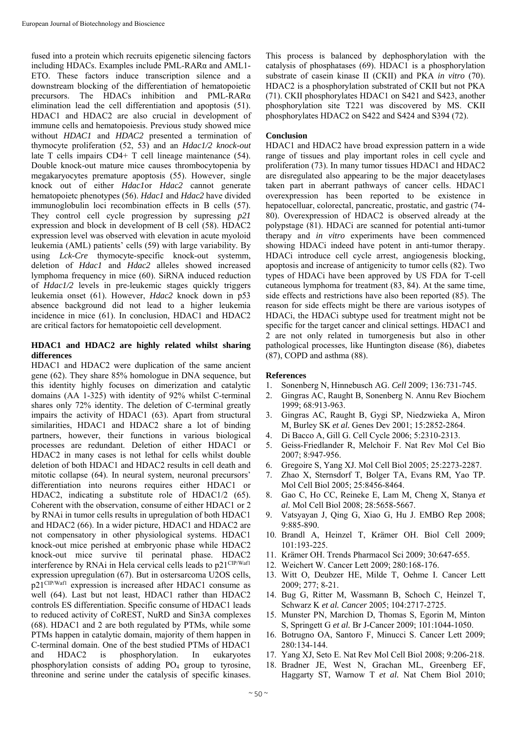fused into a protein which recruits epigenetic silencing factors including HDACs. Examples include PML-RARα and AML1- ETO. These factors induce transcription silence and a downstream blocking of the differentiation of hematopoietic precursors. The HDACs inhibition and PML-RARα elimination lead the cell differentiation and apoptosis (51). HDAC1 and HDAC2 are also crucial in development of immune cells and hematopoiesis. Previous study showed mice without *HDAC1* and *HDAC2* presented a termination of thymocyte proliferation (52, 53) and an *Hdac1/2 knock-out*  late T cells impairs CD4+ T cell lineage maintenance (54). Double knock-out mature mice causes thrombocytopenia by megakaryocytes premature apoptosis (55). However, single knock out of either *Hdac1*or *Hdac2* cannot generate hematopoietc phenotypes (56). *Hdac1* and *Hdac2* have divided immunoglobulin loci recombination effects in B cells (57). They control cell cycle progression by supressing *p21* expression and block in development of B cell (58). HDAC2 expression level was observed with elevation in acute myoloid leukemia (AML) patients' cells (59) with large variability. By using *Lck-Cre* thymocyte-specific knock-out systemm, deletion of *Hdac1* and *Hdac2* alleles showed increased lymphoma frequency in mice (60). SiRNA induced reduction of *Hdac1/2* levels in pre-leukemic stages quickly triggers leukemia onset (61). However, *Hdac2* knock down in p53 absence background did not lead to a higher leukemia incidence in mice (61). In conclusion, HDAC1 and HDAC2 are critical factors for hematopoietic cell development.

### **HDAC1 and HDAC2 are highly related whilst sharing differences**

HDAC1 and HDAC2 were duplication of the same ancient gene (62). They share 85% homologue in DNA sequence, but this identity highly focuses on dimerization and catalytic domains (AA 1-325) with identity of 92% whilst C-terminal shares only 72% identity. The deletion of C-terminal greatly impairs the activity of HDAC1 (63). Apart from structural similarities, HDAC1 and HDAC2 share a lot of binding partners, however, their functions in various biological processes are redundant. Deletion of either HDAC1 or HDAC2 in many cases is not lethal for cells whilst double deletion of both HDAC1 and HDAC2 results in cell death and mitotic collapse (64). In neural system, neuronal precursors' differentiation into neurons requires either HDAC1 or HDAC2, indicating a substitute role of HDAC1/2 (65). Coherent with the observation, consume of either HDAC1 or 2 by RNAi in tumor cells results in upregulation of both HDAC1 and HDAC2 (66). In a wider picture, HDAC1 and HDAC2 are not compensatory in other physiological systems. HDAC1 knock-out mice perished at embryonic phase while HDAC2 knock-out mice survive til perinatal phase. HDAC2 interference by RNAi in Hela cervical cells leads to p21<sup>CIP/Waf1</sup> expression upregulation (67). But in ostersarcoma U2OS cells, p21CIP/Waf1 expression is increased after HDAC1 consume as well (64). Last but not least, HDAC1 rather than HDAC2 controls ES differentiation. Specific consume of HDAC1 leads to reduced activity of CoREST, NuRD and Sin3A complexes (68). HDAC1 and 2 are both regulated by PTMs, while some PTMs happen in catalytic domain, majority of them happen in C-terminal domain. One of the best studied PTMs of HDAC1 and HDAC2 is phosphorylation. In eukaryotes phosphorylation consists of adding PO4 group to tyrosine, threonine and serine under the catalysis of specific kinases.

This process is balanced by dephosphorylation with the catalysis of phosphatases (69). HDAC1 is a phosphorylation substrate of casein kinase II (CKII) and PKA *in vitro* (70). HDAC2 is a phosphorylation substrated of CKII but not PKA (71). CKII phosphorylates HDAC1 on S421 and S423, another phosphorylation site T221 was discovered by MS. CKII phosphorylates HDAC2 on S422 and S424 and S394 (72).

### **Conclusion**

HDAC1 and HDAC2 have broad expression pattern in a wide range of tissues and play important roles in cell cycle and proliferation (73). In many tumor tissues HDAC1 and HDAC2 are disregulated also appearing to be the major deacetylases taken part in aberrant pathways of cancer cells. HDAC1 overexpression has been reported to be existence in hepatocelluar, colorectal, pancreatic, prostatic, and gastric (74- 80). Overexpression of HDAC2 is observed already at the polypstage (81). HDACi are scanned for potential anti-tumor therapy and *in vitro* experiments have been commenced showing HDACi indeed have potent in anti-tumor therapy. HDACi introduce cell cycle arrest, angiogenesis blocking, apoptosis and increase of antigenicity to tumor cells (82). Two types of HDACi have been approved by US FDA for T-cell cutaneous lymphoma for treatment (83, 84). At the same time, side effects and restrictions have also been reported (85). The reason for side effects might be there are various isotypes of HDACi, the HDACi subtype used for treatment might not be specific for the target cancer and clinical settings. HDAC1 and 2 are not only related in tumorgenesis but also in other pathological processes, like Huntington disease (86), diabetes (87), COPD and asthma (88).

#### **References**

- 1. Sonenberg N, Hinnebusch AG. *Cell* 2009; 136:731-745.
- 2. Gingras AC, Raught B, Sonenberg N. Annu Rev Biochem 1999; 68:913-963.
- 3. Gingras AC, Raught B, Gygi SP, Niedzwieka A, Miron M, Burley SK *et al.* Genes Dev 2001; 15:2852-2864.
- 4. Di Bacco A, Gill G. Cell Cycle 2006; 5:2310-2313.
- 5. Geiss-Friedlander R, Melchoir F. Nat Rev Mol Cel Bio 2007; 8:947-956.
- 6. Gregoire S, Yang XJ. Mol Cell Biol 2005; 25:2273-2287.
- 7. Zhao X, Sternsdorf T, Bolger TA, Evans RM, Yao TP. Mol Cell Biol 2005; 25:8456-8464.
- 8. Gao C, Ho CC, Reineke E, Lam M, Cheng X, Stanya *et al.* Mol Cell Biol 2008; 28:5658-5667.
- 9. Vatsyayan J, Qing G, Xiao G, Hu J. EMBO Rep 2008; 9:885-890.
- 10. Brandl A, Heinzel T, Krämer OH. Biol Cell 2009; 101:193-225.
- 11. Krämer OH. Trends Pharmacol Sci 2009; 30:647-655.
- 12. Weichert W. Cancer Lett 2009; 280:168-176.
- 13. Witt O, Deubzer HE, Milde T, Oehme I. Cancer Lett 2009; 277; 8-21.
- 14. Bug G, Ritter M, Wassmann B, Schoch C, Heinzel T, Schwarz K *et al. Cancer* 2005; 104:2717-2725.
- 15. Munster PN, Marchion D, Thomas S, Egorin M, Minton S, Springett G *et al.* Br J-Cancer 2009; 101:1044-1050.
- 16. Botrugno OA, Santoro F, Minucci S. Cancer Lett 2009; 280:134-144.
- 17. Yang XJ, Seto E. Nat Rev Mol Cell Biol 2008; 9:206-218.
- 18. Bradner JE, West N, Grachan ML, Greenberg EF, Haggarty ST, Warnow T *et al.* Nat Chem Biol 2010;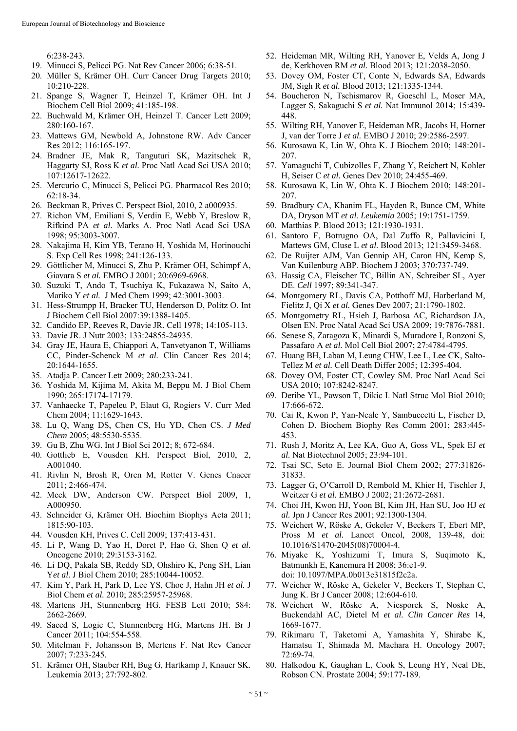6:238-243.

- 19. Minucci S, Pelicci PG. Nat Rev Cancer 2006; 6:38-51.
- 20. Müller S, Krämer OH. Curr Cancer Drug Targets 2010; 10:210-228.
- 21. Spange S, Wagner T, Heinzel T, Krämer OH. Int J Biochem Cell Biol 2009; 41:185-198.
- 22. Buchwald M, Krämer OH, Heinzel T. Cancer Lett 2009; 280:160-167.
- 23. Mattews GM, Newbold A, Johnstone RW. Adv Cancer Res 2012; 116:165-197.
- 24. Bradner JE, Mak R, Tanguturi SK, Mazitschek R, Haggarty SJ, Ross K *et al.* Proc Natl Acad Sci USA 2010; 107:12617-12622.
- 25. Mercurio C, Minucci S, Pelicci PG. Pharmacol Res 2010; 62:18-34.
- 26. Beckman R, Prives C. Perspect Biol, 2010, 2 a000935.
- 27. Richon VM, Emiliani S, Verdin E, Webb Y, Breslow R, Rifkind PA *et al.* Marks A. Proc Natl Acad Sci USA 1998; 95:3003-3007.
- 28. Nakajima H, Kim YB, Terano H, Yoshida M, Horinouchi S. Exp Cell Res 1998; 241:126-133.
- 29. Göttlicher M, Minucci S, Zhu P, Krämer OH, Schimpf A, Giavara S *et al.* EMBO J 2001; 20:6969-6968.
- 30. Suzuki T, Ando T, Tsuchiya K, Fukazawa N, Saito A, Mariko Y *et al.* J Med Chem 1999; 42:3001-3003.
- 31. Hess-Strumpp H, Bracker TU, Henderson D, Politz O. Int J Biochem Cell Biol 2007:39:1388-1405.
- 32. Candido EP, Reeves R, Davie JR. Cell 1978; 14:105-113.
- 33. Davie JR. J Nutr 2003; 133:24855-24935.
- 34. Gray JE, Haura E, Chiappori A, Tanvetyanon T, Williams CC, Pinder-Schenck M *et al.* Clin Cancer Res 2014; 20:1644-1655.
- 35. Atadja P. Cancer Lett 2009; 280:233-241.
- 36. Yoshida M, Kijima M, Akita M, Beppu M. J Biol Chem 1990; 265:17174-17179.
- 37. Vanhaecke T, Papeleu P, Elaut G, Rogiers V. Curr Med Chem 2004; 11:1629-1643.
- 38. Lu Q, Wang DS, Chen CS, Hu YD, Chen CS. *J Med Chem* 2005; 48:5530-5535.
- 39. Gu B, Zhu WG. Int J Biol Sci 2012; 8; 672-684.
- 40. Gottlieb E, Vousden KH. Perspect Biol, 2010, 2, A001040.
- 41. Rivlin N, Brosh R, Oren M, Rotter V. Genes Cnacer 2011; 2:466-474.
- 42. Meek DW, Anderson CW. Perspect Biol 2009, 1, A000950.
- 43. Schneider G, Krämer OH. Biochim Biophys Acta 2011; 1815:90-103.
- 44. Vousden KH, Prives C. Cell 2009; 137:413-431.
- 45. Li P, Wang D, Yao H, Doret P, Hao G, Shen Q *et al.* Oncogene 2010; 29:3153-3162.
- 46. Li DQ, Pakala SB, Reddy SD, Ohshiro K, Peng SH, Lian Y*et al.* J Biol Chem 2010; 285:10044-10052.
- 47. Kim Y, Park H, Park D, Lee YS, Choe J, Hahn JH *et al.* J Biol Chem *et al.* 2010; 285:25957-25968.
- 48. Martens JH, Stunnenberg HG. FESB Lett 2010; 584: 2662-2669.
- 49. Saeed S, Logie C, Stunnenberg HG, Martens JH. Br J Cancer 2011; 104:554-558.
- 50. Mitelman F, Johansson B, Mertens F. Nat Rev Cancer 2007; 7:233-245.
- 51. Krämer OH, Stauber RH, Bug G, Hartkamp J, Knauer SK. Leukemia 2013; 27:792-802.
- 52. Heideman MR, Wilting RH, Yanover E, Velds A, Jong J de, Kerkhoven RM *et al.* Blood 2013; 121:2038-2050.
- 53. Dovey OM, Foster CT, Conte N, Edwards SA, Edwards JM, Sigh R *et al.* Blood 2013; 121:1335-1344.
- 54. Boucheron N, Tschismarov R, Goeschl L, Moser MA, Lagger S, Sakaguchi S *et al.* Nat Immunol 2014; 15:439- 448.
- 55. Wilting RH, Yanover E, Heideman MR, Jacobs H, Horner J, van der Torre J *et al.* EMBO J 2010; 29:2586-2597.
- 56. Kurosawa K, Lin W, Ohta K. J Biochem 2010; 148:201- 207.
- 57. Yamaguchi T, Cubizolles F, Zhang Y, Reichert N, Kohler H, Seiser C *et al.* Genes Dev 2010; 24:455-469.
- 58. Kurosawa K, Lin W, Ohta K. J Biochem 2010; 148:201- 207.
- 59. Bradbury CA, Khanim FL, Hayden R, Bunce CM, White DA, Dryson MT *et al. Leukemia* 2005; 19:1751-1759.
- 60. Matthias P. Blood 2013; 121:1930-1931.
- 61. Santoro F, Botrugno OA, Dal Zuffo R, Pallavicini I, Mattews GM, Cluse L *et al.* Blood 2013; 121:3459-3468.
- 62. De Ruijter AJM, Van Gennip AH, Caron HN, Kemp S, Van Kuilenburg ABP. Biochem J 2003; 370:737-749.
- 63. Hassig CA, Fleischer TC, Billin AN, Schreiber SL, Ayer DE. *Cell* 1997; 89:341-347.
- 64. Montgomery RL, Davis CA, Potthoff MJ, Harberland M, Fielitz J, Qi X *et al.* Genes Dev 2007; 21:1790-1802.
- 65. Montgometry RL, Hsieh J, Barbosa AC, Richardson JA, Olsen EN. Proc Natal Acad Sci USA 2009; 19:7876-7881.
- 66. Senese S, Zaragoza K, Minardi S, Muradore I, Ronzoni S, Passafaro A *et al.* Mol Cell Biol 2007; 27:4784-4795.
- 67. Huang BH, Laban M, Leung CHW, Lee L, Lee CK, Salto-Tellez M *et al.* Cell Death Differ 2005; 12:395-404.
- 68. Dovey OM, Foster CT, Cowley SM. Proc Natl Acad Sci USA 2010; 107:8242-8247.
- 69. Deribe YL, Pawson T, Dikic I. Natl Struc Mol Biol 2010; 17:666-672.
- 70. Cai R, Kwon P, Yan-Neale Y, Sambuccetti L, Fischer D, Cohen D. Biochem Biophy Res Comm 2001; 283:445- 453.
- 71. Rush J, Moritz A, Lee KA, Guo A, Goss VL, Spek EJ *et al.* Nat Biotechnol 2005; 23:94-101.
- 72. Tsai SC, Seto E. Journal Biol Chem 2002; 277:31826- 31833.
- 73. Lagger G, O'Carroll D, Rembold M, Khier H, Tischler J, Weitzer G *et al.* EMBO J 2002; 21:2672-2681.
- 74. Choi JH, Kwon HJ, Yoon BI, Kim JH, Han SU, Joo HJ *et al.* Jpn J Cancer Res 2001; 92:1300-1304.
- 75. Weichert W, Röske A, Gekeler V, Beckers T, Ebert MP, Pross M *et al.* Lancet Oncol, 2008, 139-48, doi: 10.1016/S1470-2045(08)70004-4.
- 76. Miyake K, Yoshizumi T, Imura S, Suqimoto K, Batmunkh E, Kanemura H 2008; 36:e1-9. doi: 10.1097/MPA.0b013e31815f2c2a.
- 77. Weicher W, Röske A, Gekeler V, Beckers T, Stephan C, Jung K. Br J Cancer 2008; 12:604-610.
- 78. Weichert W, Röske A, Niesporek S, Noske A, Buckendahl AC, Dietel M *et al. Clin Cancer Res* 14, 1669-1677.
- 79. Rikimaru T, Taketomi A, Yamashita Y, Shirabe K, Hamatsu T, Shimada M, Maehara H. Oncology 2007; 72:69-74.
- 80. Halkodou K, Gaughan L, Cook S, Leung HY, Neal DE, Robson CN. Prostate 2004; 59:177-189.